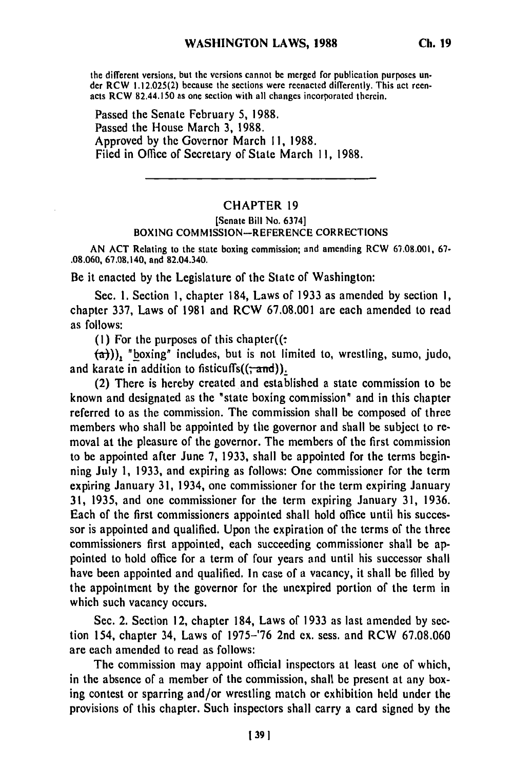the different versions, but the versions cannot be merged for publication purposes un der RCW 1.12.025(2) because the sections were reenacted differently. This act reen acts RCW 82.44.150 as one section with all changes incorporated therein.

Passed the Senate February **5, 1988.** Passed the House March **3, 1988.** Approved **by** the Governor March **1i, 1988.** Filed in Office of Secretary of State March **I1, 1988.**

## CHAPTER **19**

## [Senate Bill No. **6374] BOXING COMMISSION-REFERENCE** CORRECTIONS

AN ACT Relating to the state boxing commission; and amending RCW 67.08.001, 67-**.08.060, 67.08.140,** and 82.04.340.

Be it enacted **by** the Legislature of the State of Washington:

Sec. **1.** Section **1,** chapter 184, Laws of **1933** as amended **by** section **1,** chapter **337,** Laws of **1981** and RCW **67.08.001 are** each amended to read as follows:

**(1)** For the purposes of this chapter((:

**(a-))),** "boxing" includes, but is not limited to, wrestling, sumo, judo, and karate in addition to fisticuffs $((\div \text{and}))$ .

(2) There is hereby created and established a state commission to **be** known and designated as the "state boxing commission" and in this chapter referred to as the commission. The commission shall be composed of three members who shall be appointed **by** the governor and shall be subject to removal at the pleasure of the governor. The members of the first commission to be appointed after June **7, 1933,** shall be appointed for the terms beginning July **1, 1933,** and expiring as follows: One commissioner for the term expiring January **31,** 1934, one commissioner for the term expiring January **31, 1935,** and one commissioner for the term expiring January **31, 1936.** Each of the first commissioners appointed shall hold office until his successor is appointed and qualified. Upon the expiration of the terms of the three commissioners first appointed, each succeeding commissioner shall be appointed to hold office for a term of four years and until his successor shall have been appointed and qualified. In case of a vacancy, it shall be filled **by** the appointment **by** the governor for the unexpired portion of the term in which such vacancy occurs.

Sec. 2. Section 12, chapter 184, Laws of **1933** as last amended **by** section 154, chapter 34, Laws of **1975-'76** 2nd ex. sess. and RCW **67.08.060** are each amended to read as follows:

The commission may appoint official inspectors at least one of which, in the absence of a member of the commission, shall be present at any boxing contest or sparring and/or wrestling match or exhibition held under the provisions of this chapter. Such inspectors shall carry a card signed **by** the